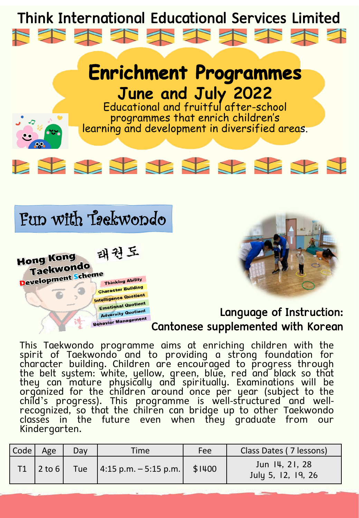



Educational and fruitful after-school programmes that enrich children's learning and development in diversified areas.







### Language of Instruction: Cantonese supplemented with Korean

This Taekwondo programme aims at enriching children with the spirit of Taekwondo and to providing a strong foundation for character building. Children are encouraged to progress through the belt system: white, yellow, green, blue, red and black so that they can mature physically and spiritually. Examinations will be organized for the children around once per year (subject to the child's progress). This programme is well-structured and wellrecognized, so that the chilren can bridge up to other Taekwondo classes in the future even when they graduate from our Kindergarten.

| Code | Age                 | Day | Time                          | Fee    | Class Dates (7 lessons)              |
|------|---------------------|-----|-------------------------------|--------|--------------------------------------|
|      | $ 2 \text{ to } 6 $ |     | Tue   4:15 p.m. $-$ 5:15 p.m. | \$1400 | Jun 14, 21, 28<br>July 5, 12, 19, 26 |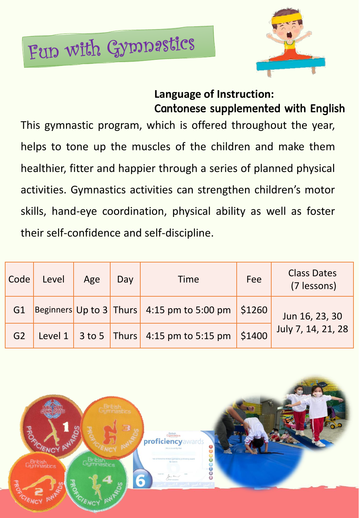# Fun with Gymnastics



# **Language of Instruction:**  Cantonese supplemented with English

This gymnastic program, which is offered throughout the year, helps to tone up the muscles of the children and make them healthier, fitter and happier through a series of planned physical activities. Gymnastics activities can strengthen children's motor skills, hand-eye coordination, physical ability as well as foster their self-confidence and self-discipline.

| Code           | Level | Age | Day | <b>Time</b>                                       | Fee    | <b>Class Dates</b><br>(7 lessons) |
|----------------|-------|-----|-----|---------------------------------------------------|--------|-----------------------------------|
| G1             |       |     |     | Beginners Up to 3 Thurs 4:15 pm to 5:00 pm \$1260 |        | Jun 16, 23, 30                    |
| G <sub>2</sub> |       |     |     | Level 1 3 to 5 Thurs 4:15 pm to 5:15 pm           | \$1400 | July 7, 14, 21, 28                |